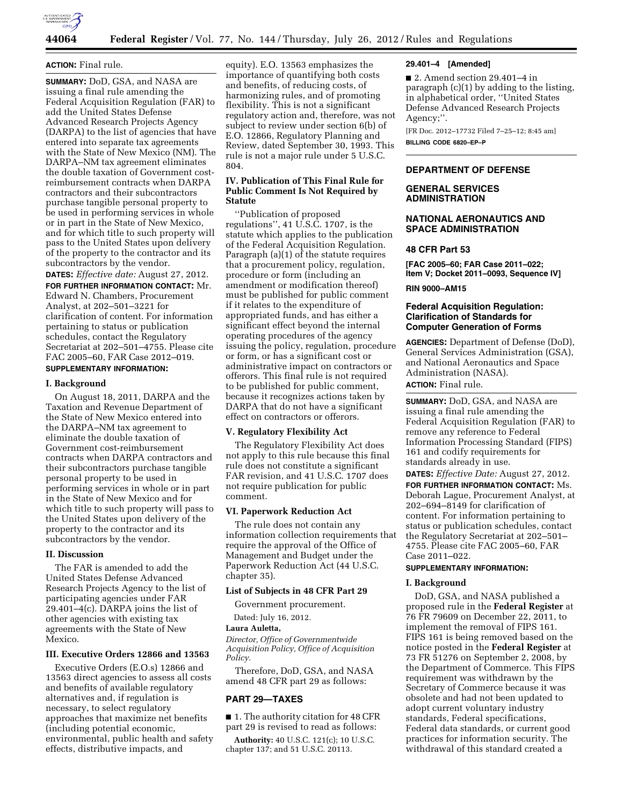

## **ACTION:** Final rule.

**SUMMARY:** DoD, GSA, and NASA are issuing a final rule amending the Federal Acquisition Regulation (FAR) to add the United States Defense Advanced Research Projects Agency (DARPA) to the list of agencies that have entered into separate tax agreements with the State of New Mexico (NM). The DARPA–NM tax agreement eliminates the double taxation of Government costreimbursement contracts when DARPA contractors and their subcontractors purchase tangible personal property to be used in performing services in whole or in part in the State of New Mexico, and for which title to such property will pass to the United States upon delivery of the property to the contractor and its subcontractors by the vendor.

**DATES:** *Effective date:* August 27, 2012. **FOR FURTHER INFORMATION CONTACT:** Mr. Edward N. Chambers, Procurement Analyst, at 202–501–3221 for clarification of content. For information pertaining to status or publication schedules, contact the Regulatory Secretariat at 202–501–4755. Please cite FAC 2005–60, FAR Case 2012–019.

# **SUPPLEMENTARY INFORMATION:**

#### **I. Background**

On August 18, 2011, DARPA and the Taxation and Revenue Department of the State of New Mexico entered into the DARPA–NM tax agreement to eliminate the double taxation of Government cost-reimbursement contracts when DARPA contractors and their subcontractors purchase tangible personal property to be used in performing services in whole or in part in the State of New Mexico and for which title to such property will pass to the United States upon delivery of the property to the contractor and its subcontractors by the vendor.

# **II. Discussion**

The FAR is amended to add the United States Defense Advanced Research Projects Agency to the list of participating agencies under FAR 29.401–4(c). DARPA joins the list of other agencies with existing tax agreements with the State of New Mexico.

# **III. Executive Orders 12866 and 13563**

Executive Orders (E.O.s) 12866 and 13563 direct agencies to assess all costs and benefits of available regulatory alternatives and, if regulation is necessary, to select regulatory approaches that maximize net benefits (including potential economic, environmental, public health and safety effects, distributive impacts, and

equity). E.O. 13563 emphasizes the importance of quantifying both costs and benefits, of reducing costs, of harmonizing rules, and of promoting flexibility. This is not a significant regulatory action and, therefore, was not subject to review under section 6(b) of E.O. 12866, Regulatory Planning and Review, dated September 30, 1993. This rule is not a major rule under 5 U.S.C. 804.

# **IV. Publication of This Final Rule for Public Comment Is Not Required by Statute**

''Publication of proposed regulations'', 41 U.S.C. 1707, is the statute which applies to the publication of the Federal Acquisition Regulation. Paragraph (a)(1) of the statute requires that a procurement policy, regulation, procedure or form (including an amendment or modification thereof) must be published for public comment if it relates to the expenditure of appropriated funds, and has either a significant effect beyond the internal operating procedures of the agency issuing the policy, regulation, procedure or form, or has a significant cost or administrative impact on contractors or offerors. This final rule is not required to be published for public comment, because it recognizes actions taken by DARPA that do not have a significant effect on contractors or offerors.

#### **V. Regulatory Flexibility Act**

The Regulatory Flexibility Act does not apply to this rule because this final rule does not constitute a significant FAR revision, and 41 U.S.C. 1707 does not require publication for public comment.

# **VI. Paperwork Reduction Act**

The rule does not contain any information collection requirements that require the approval of the Office of Management and Budget under the Paperwork Reduction Act (44 U.S.C. chapter 35).

#### **List of Subjects in 48 CFR Part 29**

Government procurement.

Dated: July 16, 2012.

#### **Laura Auletta,**

*Director, Office of Governmentwide Acquisition Policy, Office of Acquisition Policy.* 

Therefore, DoD, GSA, and NASA amend 48 CFR part 29 as follows:

# **PART 29—TAXES**

■ 1. The authority citation for 48 CFR part 29 is revised to read as follows:

**Authority:** 40 U.S.C. 121(c); 10 U.S.C. chapter 137; and 51 U.S.C. 20113.

#### **29.401–4 [Amended]**

■ 2. Amend section 29.401–4 in paragraph (c)(1) by adding to the listing, in alphabetical order, ''United States Defense Advanced Research Projects Agency;''.

[FR Doc. 2012–17732 Filed 7–25–12; 8:45 am]

**BILLING CODE 6820–EP–P** 

# **DEPARTMENT OF DEFENSE**

# **GENERAL SERVICES ADMINISTRATION**

# **NATIONAL AERONAUTICS AND SPACE ADMINISTRATION**

#### **48 CFR Part 53**

**[FAC 2005–60; FAR Case 2011–022; Item V; Docket 2011–0093, Sequence IV]** 

#### **RIN 9000–AM15**

# **Federal Acquisition Regulation: Clarification of Standards for Computer Generation of Forms**

**AGENCIES:** Department of Defense (DoD), General Services Administration (GSA), and National Aeronautics and Space Administration (NASA). **ACTION:** Final rule.

**SUMMARY:** DoD, GSA, and NASA are issuing a final rule amending the Federal Acquisition Regulation (FAR) to remove any reference to Federal Information Processing Standard (FIPS) 161 and codify requirements for standards already in use.

**DATES:** *Effective Date:* August 27, 2012. **FOR FURTHER INFORMATION CONTACT:** Ms. Deborah Lague, Procurement Analyst, at 202–694–8149 for clarification of content. For information pertaining to status or publication schedules, contact the Regulatory Secretariat at 202–501– 4755. Please cite FAC 2005–60, FAR Case 2011–022.

# **SUPPLEMENTARY INFORMATION:**

#### **I. Background**

DoD, GSA, and NASA published a proposed rule in the **Federal Register** at 76 FR 79609 on December 22, 2011, to implement the removal of FIPS 161. FIPS 161 is being removed based on the notice posted in the **Federal Register** at 73 FR 51276 on September 2, 2008, by the Department of Commerce. This FIPS requirement was withdrawn by the Secretary of Commerce because it was obsolete and had not been updated to adopt current voluntary industry standards, Federal specifications, Federal data standards, or current good practices for information security. The withdrawal of this standard created a